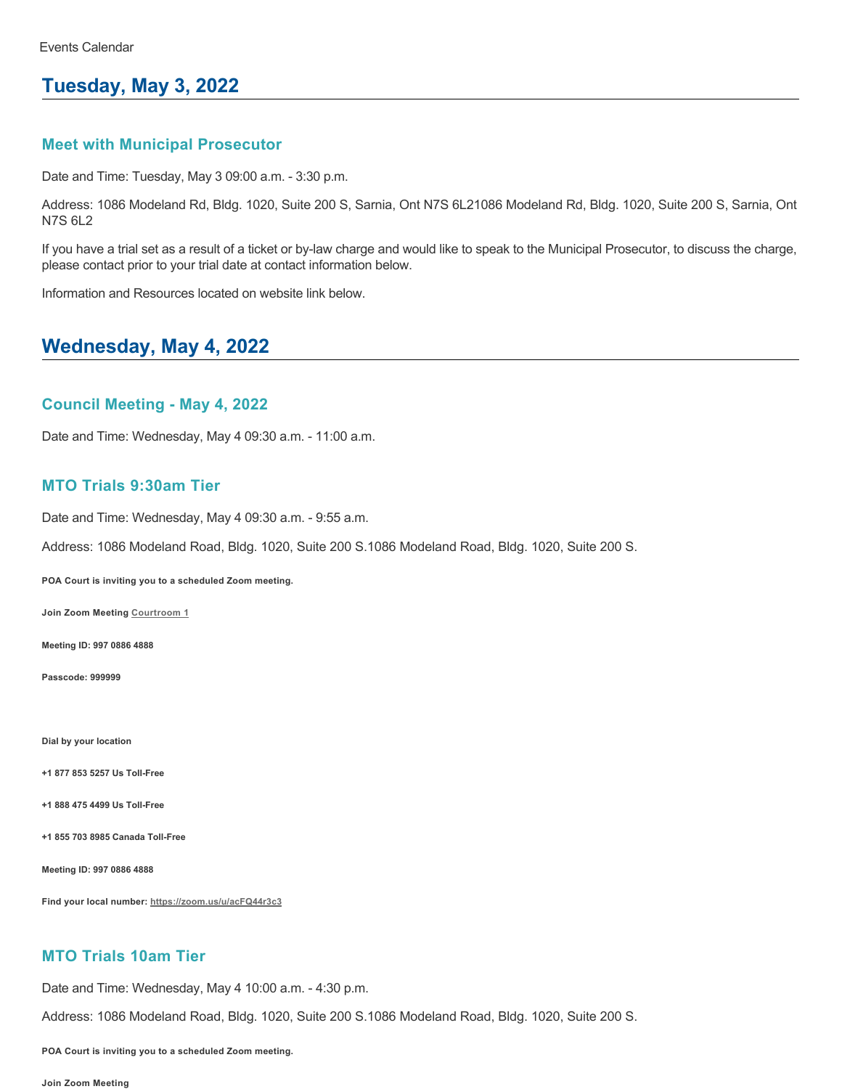# **Tuesday, May 3, 2022**

### **Meet with Municipal Prosecutor**

Date and Time: Tuesday, May 3 09:00 a.m. - 3:30 p.m.

Address: 1086 Modeland Rd, Bldg. 1020, Suite 200 S, Sarnia, Ont N7S 6L21086 Modeland Rd, Bldg. 1020, Suite 200 S, Sarnia, Ont N7S 6L2

If you have a trial set as a result of a ticket or by-law charge and would like to speak to the Municipal Prosecutor, to discuss the charge, please contact prior to your trial date at contact information below.

Information and Resources located on website link below.

# **Wednesday, May 4, 2022**

### **Council Meeting - May 4, 2022**

Date and Time: Wednesday, May 4 09:30 a.m. - 11:00 a.m.

### **MTO Trials 9:30am Tier**

Date and Time: Wednesday, May 4 09:30 a.m. - 9:55 a.m.

Address: 1086 Modeland Road, Bldg. 1020, Suite 200 S.1086 Modeland Road, Bldg. 1020, Suite 200 S.

**POA Court is inviting you to a scheduled Zoom meeting.**

**Join Zoom Meeting [Courtroom 1](https://zoom.us/j/99708864888?pwd=QVZZN3NoNVVHNlVYYWl6M1JsVlRCdz09)**

**Meeting ID: 997 0886 4888**

**Passcode: 999999**

**Dial by your location**

**+1 877 853 5257 Us Toll-Free**

**+1 888 475 4499 Us Toll-Free**

**+1 855 703 8985 Canada Toll-Free**

**Meeting ID: 997 0886 4888**

**Find your local number:<https://zoom.us/u/acFQ44r3c3>**

## **MTO Trials 10am Tier**

Date and Time: Wednesday, May 4 10:00 a.m. - 4:30 p.m.

Address: 1086 Modeland Road, Bldg. 1020, Suite 200 S.1086 Modeland Road, Bldg. 1020, Suite 200 S.

**POA Court is inviting you to a scheduled Zoom meeting.**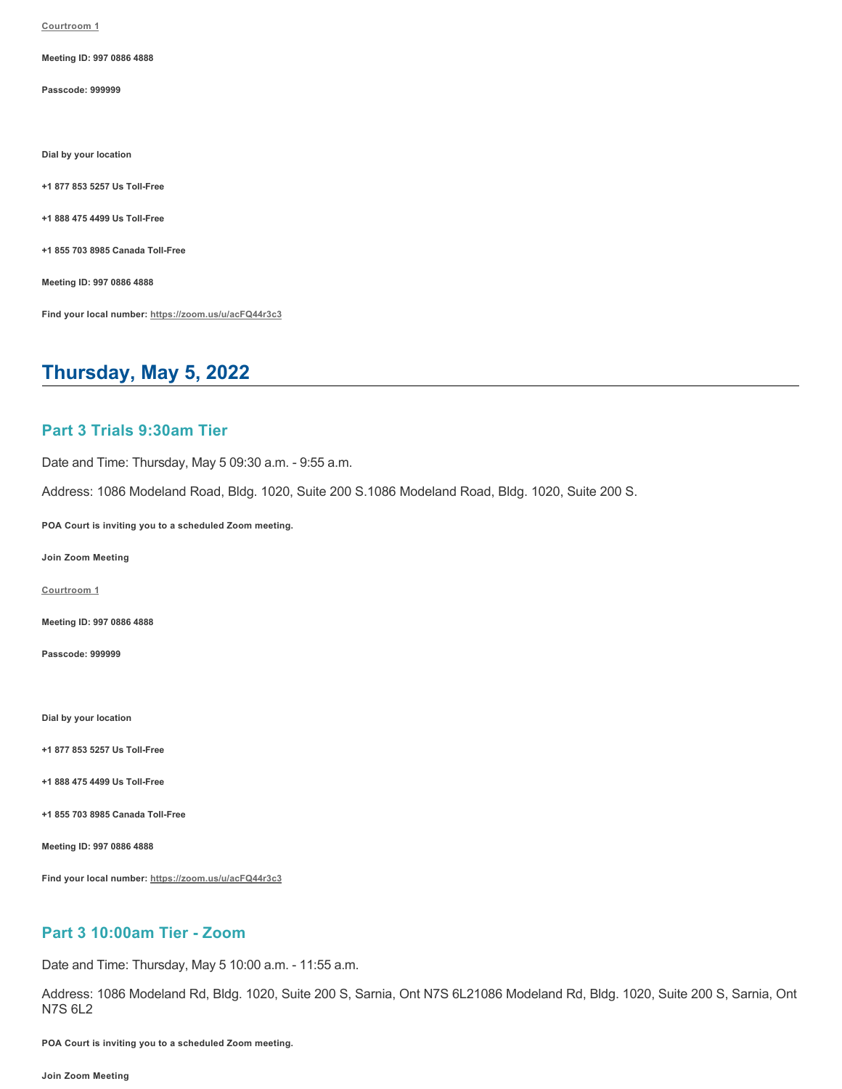**[Courtroom 1](https://zoom.us/j/99708864888?pwd=QVZZN3NoNVVHNlVYYWl6M1JsVlRCdz09)**

**Meeting ID: 997 0886 4888**

**Passcode: 999999**

**Dial by your location**

**+1 877 853 5257 Us Toll-Free**

**+1 888 475 4499 Us Toll-Free**

**+1 855 703 8985 Canada Toll-Free**

**Meeting ID: 997 0886 4888**

**Find your local number:<https://zoom.us/u/acFQ44r3c3>**

# **Thursday, May 5, 2022**

### **Part 3 Trials 9:30am Tier**

Date and Time: Thursday, May 5 09:30 a.m. - 9:55 a.m.

Address: 1086 Modeland Road, Bldg. 1020, Suite 200 S.1086 Modeland Road, Bldg. 1020, Suite 200 S.

**POA Court is inviting you to a scheduled Zoom meeting.**

**Join Zoom Meeting**

**[Courtroom 1](https://zoom.us/j/99708864888?pwd=QVZZN3NoNVVHNlVYYWl6M1JsVlRCdz09)**

**Meeting ID: 997 0886 4888**

**Passcode: 999999**

**Dial by your location**

**+1 877 853 5257 Us Toll-Free**

**+1 888 475 4499 Us Toll-Free**

**+1 855 703 8985 Canada Toll-Free**

**Meeting ID: 997 0886 4888**

**Find your local number:<https://zoom.us/u/acFQ44r3c3>**

### **Part 3 10:00am Tier - Zoom**

Date and Time: Thursday, May 5 10:00 a.m. - 11:55 a.m.

Address: 1086 Modeland Rd, Bldg. 1020, Suite 200 S, Sarnia, Ont N7S 6L21086 Modeland Rd, Bldg. 1020, Suite 200 S, Sarnia, Ont N7S 6L2

**POA Court is inviting you to a scheduled Zoom meeting.**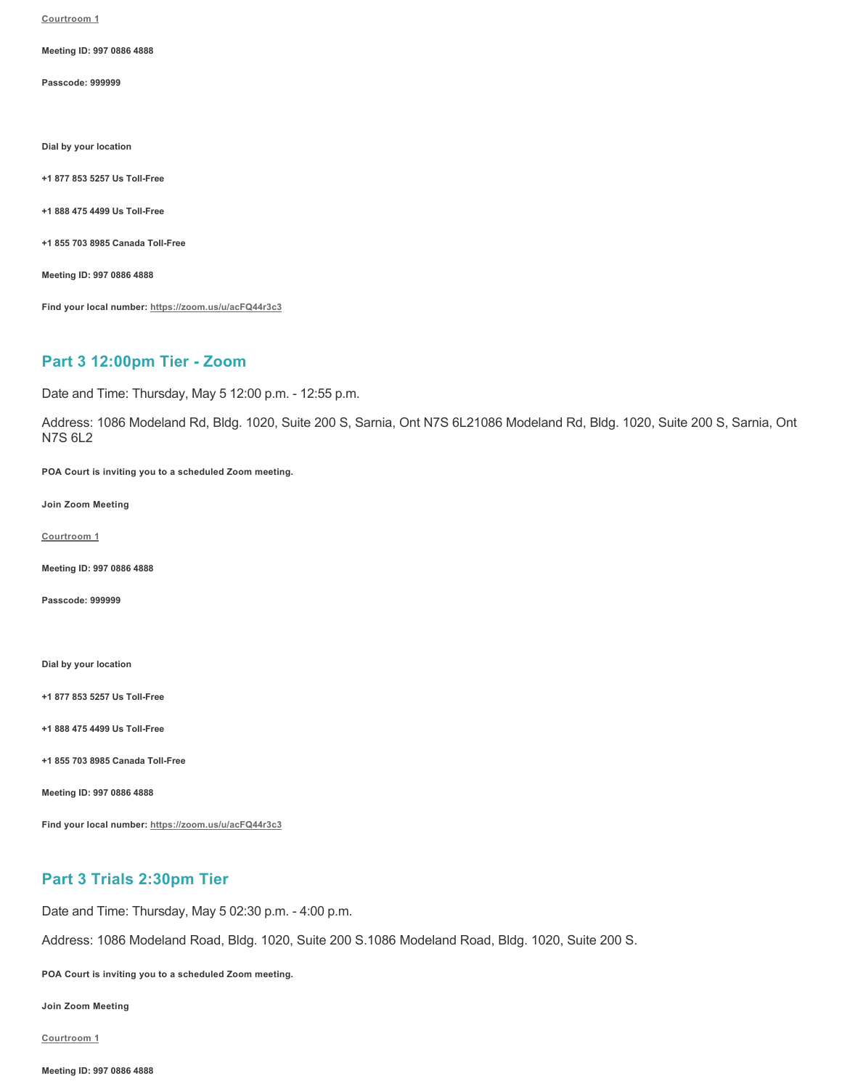**[Courtroom 1](https://zoom.us/j/99708864888?pwd=QVZZN3NoNVVHNlVYYWl6M1JsVlRCdz09)**

**Meeting ID: 997 0886 4888**

**Passcode: 999999**

**Dial by your location**

**+1 877 853 5257 Us Toll-Free**

**+1 888 475 4499 Us Toll-Free**

**+1 855 703 8985 Canada Toll-Free**

**Meeting ID: 997 0886 4888**

**Find your local number:<https://zoom.us/u/acFQ44r3c3>**

### **Part 3 12:00pm Tier - Zoom**

Date and Time: Thursday, May 5 12:00 p.m. - 12:55 p.m.

Address: 1086 Modeland Rd, Bldg. 1020, Suite 200 S, Sarnia, Ont N7S 6L21086 Modeland Rd, Bldg. 1020, Suite 200 S, Sarnia, Ont N7S 6L2

**POA Court is inviting you to a scheduled Zoom meeting.**

**Join Zoom Meeting**

**[Courtroom 1](https://zoom.us/j/99708864888?pwd=QVZZN3NoNVVHNlVYYWl6M1JsVlRCdz09)**

**Meeting ID: 997 0886 4888**

**Passcode: 999999**

**Dial by your location**

**+1 877 853 5257 Us Toll-Free**

**+1 888 475 4499 Us Toll-Free**

**+1 855 703 8985 Canada Toll-Free**

**Meeting ID: 997 0886 4888**

**Find your local number:<https://zoom.us/u/acFQ44r3c3>**

# **Part 3 Trials 2:30pm Tier**

Date and Time: Thursday, May 5 02:30 p.m. - 4:00 p.m.

Address: 1086 Modeland Road, Bldg. 1020, Suite 200 S.1086 Modeland Road, Bldg. 1020, Suite 200 S.

**POA Court is inviting you to a scheduled Zoom meeting.**

**Join Zoom Meeting**

**[Courtroom 1](https://zoom.us/j/99708864888?pwd=QVZZN3NoNVVHNlVYYWl6M1JsVlRCdz09)**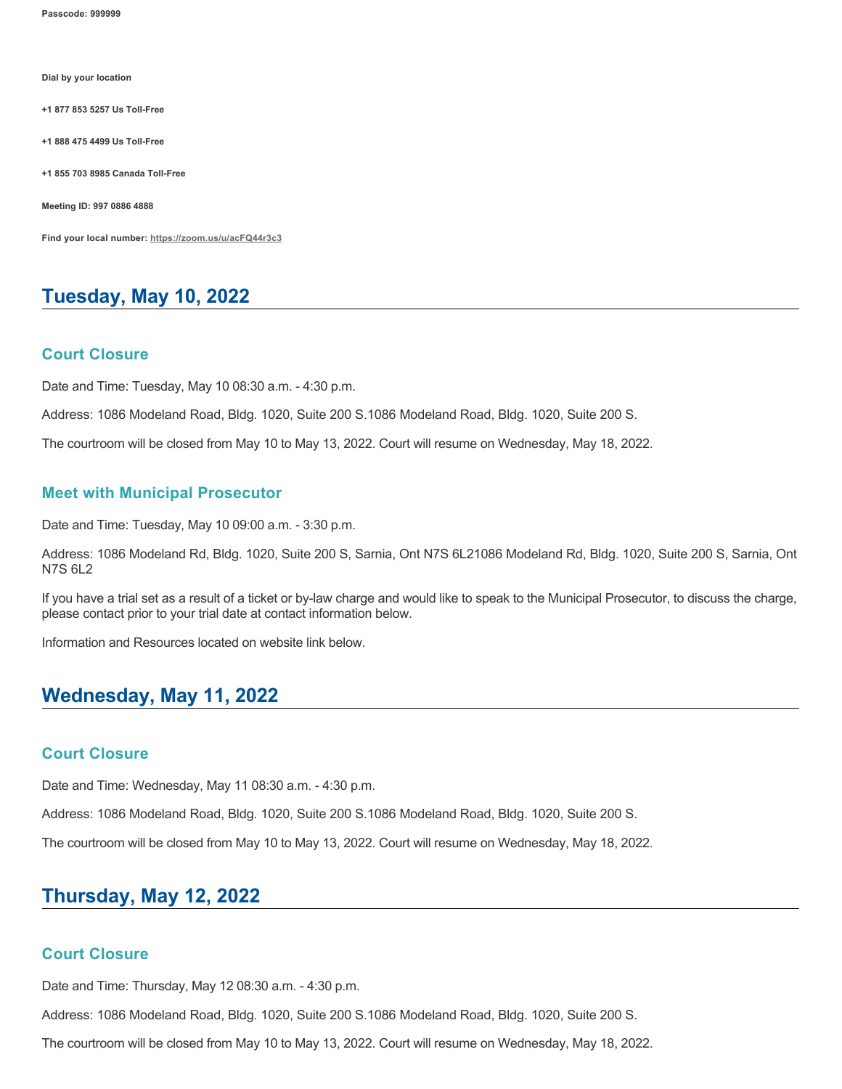**Passcode: 999999**

**Dial by your location**

**+1 877 853 5257 Us Toll-Free**

**+1 888 475 4499 Us Toll-Free**

**+1 855 703 8985 Canada Toll-Free**

**Meeting ID: 997 0886 4888**

**Find your local number:<https://zoom.us/u/acFQ44r3c3>**

# **Tuesday, May 10, 2022**

#### **Court Closure**

Date and Time: Tuesday, May 10 08:30 a.m. - 4:30 p.m.

Address: 1086 Modeland Road, Bldg. 1020, Suite 200 S.1086 Modeland Road, Bldg. 1020, Suite 200 S.

The courtroom will be closed from May 10 to May 13, 2022. Court will resume on Wednesday, May 18, 2022.

#### **Meet with Municipal Prosecutor**

Date and Time: Tuesday, May 10 09:00 a.m. - 3:30 p.m.

Address: 1086 Modeland Rd, Bldg. 1020, Suite 200 S, Sarnia, Ont N7S 6L21086 Modeland Rd, Bldg. 1020, Suite 200 S, Sarnia, Ont N7S 6L2

If you have a trial set as a result of a ticket or by-law charge and would like to speak to the Municipal Prosecutor, to discuss the charge, please contact prior to your trial date at contact information below.

Information and Resources located on website link below.

# **Wednesday, May 11, 2022**

### **Court Closure**

Date and Time: Wednesday, May 11 08:30 a.m. - 4:30 p.m.

Address: 1086 Modeland Road, Bldg. 1020, Suite 200 S.1086 Modeland Road, Bldg. 1020, Suite 200 S.

The courtroom will be closed from May 10 to May 13, 2022. Court will resume on Wednesday, May 18, 2022.

# **Thursday, May 12, 2022**

### **Court Closure**

Date and Time: Thursday, May 12 08:30 a.m. - 4:30 p.m.

Address: 1086 Modeland Road, Bldg. 1020, Suite 200 S.1086 Modeland Road, Bldg. 1020, Suite 200 S.

The courtroom will be closed from May 10 to May 13, 2022. Court will resume on Wednesday, May 18, 2022.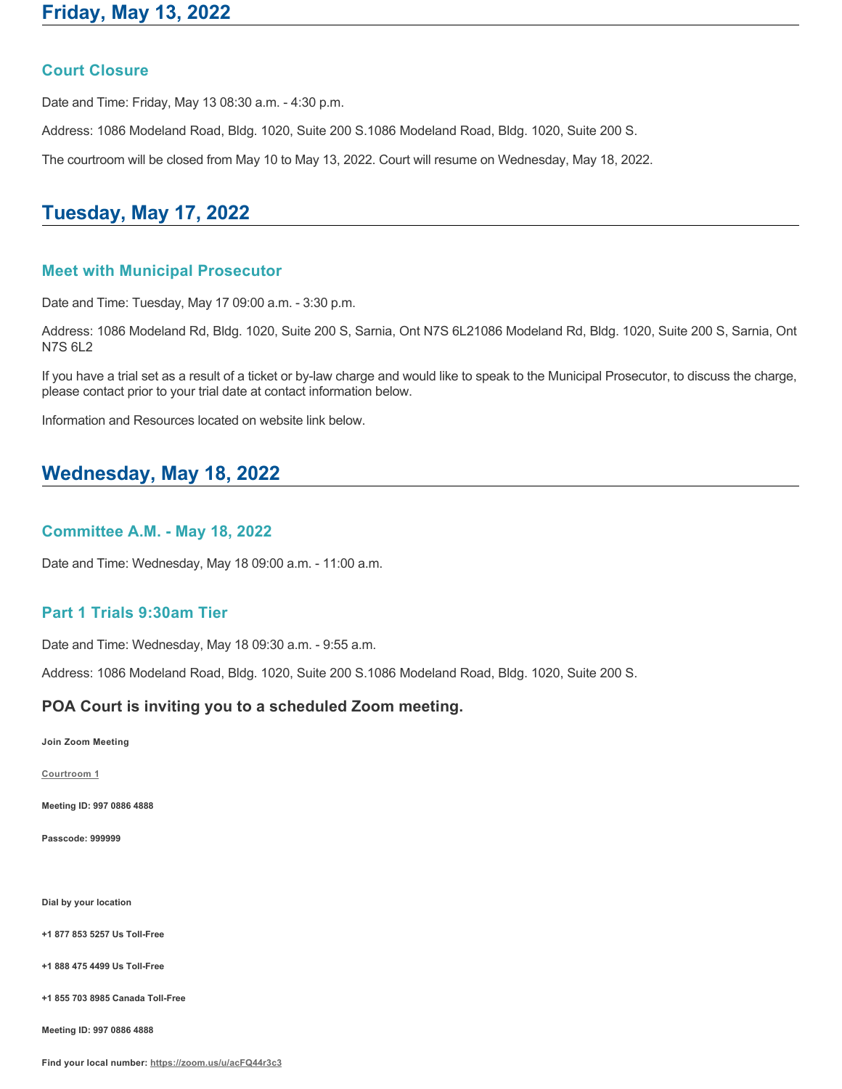### **Court Closure**

Date and Time: Friday, May 13 08:30 a.m. - 4:30 p.m.

Address: 1086 Modeland Road, Bldg. 1020, Suite 200 S.1086 Modeland Road, Bldg. 1020, Suite 200 S.

The courtroom will be closed from May 10 to May 13, 2022. Court will resume on Wednesday, May 18, 2022.

# **Tuesday, May 17, 2022**

### **Meet with Municipal Prosecutor**

Date and Time: Tuesday, May 17 09:00 a.m. - 3:30 p.m.

Address: 1086 Modeland Rd, Bldg. 1020, Suite 200 S, Sarnia, Ont N7S 6L21086 Modeland Rd, Bldg. 1020, Suite 200 S, Sarnia, Ont N7S 6L2

If you have a trial set as a result of a ticket or by-law charge and would like to speak to the Municipal Prosecutor, to discuss the charge, please contact prior to your trial date at contact information below.

Information and Resources located on website link below.

# **Wednesday, May 18, 2022**

# **Committee A.M. - May 18, 2022**

Date and Time: Wednesday, May 18 09:00 a.m. - 11:00 a.m.

### **Part 1 Trials 9:30am Tier**

Date and Time: Wednesday, May 18 09:30 a.m. - 9:55 a.m.

Address: 1086 Modeland Road, Bldg. 1020, Suite 200 S.1086 Modeland Road, Bldg. 1020, Suite 200 S.

#### **POA Court is inviting you to a scheduled Zoom meeting.**

**Join Zoom Meeting**

**[Courtroom 1](https://zoom.us/j/99708864888?pwd=QVZZN3NoNVVHNlVYYWl6M1JsVlRCdz09)**

**Meeting ID: 997 0886 4888**

**Passcode: 999999**

**Dial by your location**

**+1 877 853 5257 Us Toll-Free**

**+1 888 475 4499 Us Toll-Free**

**+1 855 703 8985 Canada Toll-Free**

**Meeting ID: 997 0886 4888**

**Find your local number:<https://zoom.us/u/acFQ44r3c3>**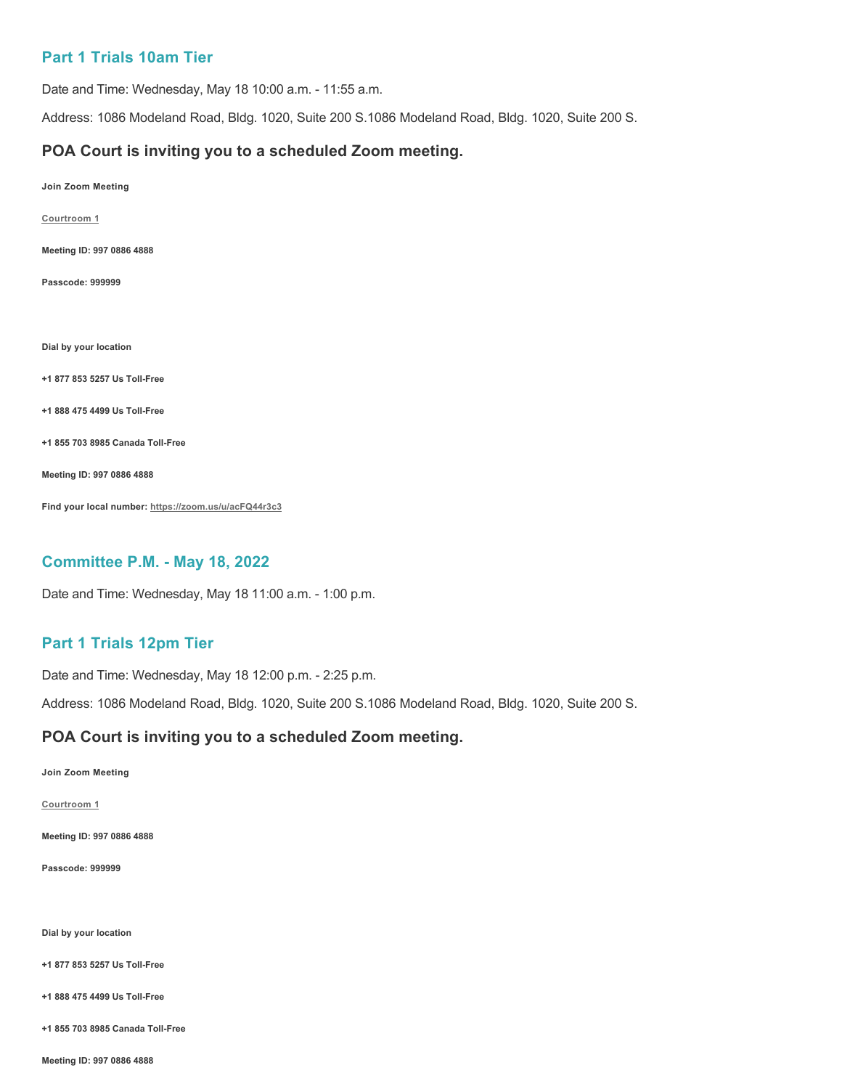# **Part 1 Trials 10am Tier**

Date and Time: Wednesday, May 18 10:00 a.m. - 11:55 a.m.

Address: 1086 Modeland Road, Bldg. 1020, Suite 200 S.1086 Modeland Road, Bldg. 1020, Suite 200 S.

### **POA Court is inviting you to a scheduled Zoom meeting.**

**Join Zoom Meeting**

**[Courtroom 1](https://zoom.us/j/99708864888?pwd=QVZZN3NoNVVHNlVYYWl6M1JsVlRCdz09)**

**Meeting ID: 997 0886 4888**

**Passcode: 999999**

**Dial by your location**

**+1 877 853 5257 Us Toll-Free**

**+1 888 475 4499 Us Toll-Free**

**+1 855 703 8985 Canada Toll-Free**

**Meeting ID: 997 0886 4888**

**Find your local number:<https://zoom.us/u/acFQ44r3c3>**

#### **Committee P.M. - May 18, 2022**

Date and Time: Wednesday, May 18 11:00 a.m. - 1:00 p.m.

### **Part 1 Trials 12pm Tier**

Date and Time: Wednesday, May 18 12:00 p.m. - 2:25 p.m.

Address: 1086 Modeland Road, Bldg. 1020, Suite 200 S.1086 Modeland Road, Bldg. 1020, Suite 200 S.

### **POA Court is inviting you to a scheduled Zoom meeting.**

**Join Zoom Meeting**

**[Courtroom 1](https://zoom.us/j/99708864888?pwd=QVZZN3NoNVVHNlVYYWl6M1JsVlRCdz09)**

**Meeting ID: 997 0886 4888**

**Passcode: 999999**

**Dial by your location**

**+1 877 853 5257 Us Toll-Free**

**+1 888 475 4499 Us Toll-Free**

**+1 855 703 8985 Canada Toll-Free**

**Meeting ID: 997 0886 4888**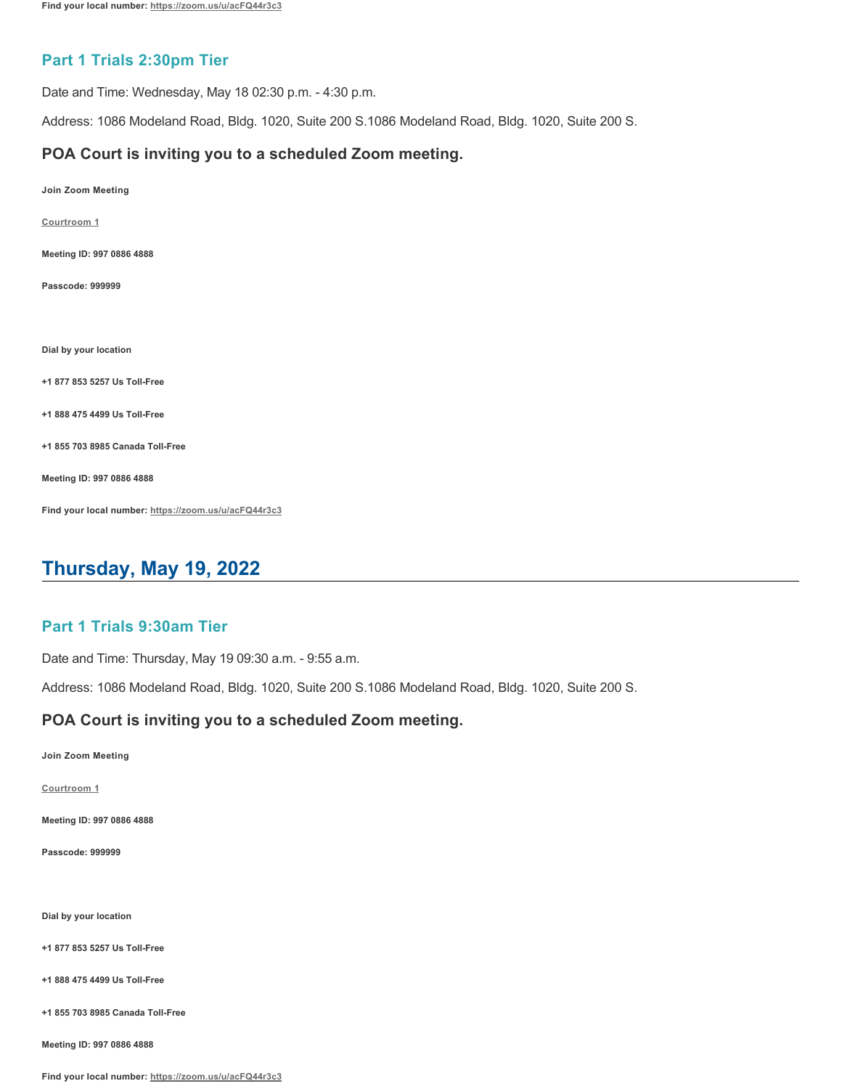# **Part 1 Trials 2:30pm Tier**

Date and Time: Wednesday, May 18 02:30 p.m. - 4:30 p.m.

Address: 1086 Modeland Road, Bldg. 1020, Suite 200 S.1086 Modeland Road, Bldg. 1020, Suite 200 S.

### **POA Court is inviting you to a scheduled Zoom meeting.**

**Join Zoom Meeting**

**[Courtroom 1](https://zoom.us/j/99708864888?pwd=QVZZN3NoNVVHNlVYYWl6M1JsVlRCdz09)**

**Meeting ID: 997 0886 4888**

**Passcode: 999999**

**Dial by your location**

**+1 877 853 5257 Us Toll-Free**

**+1 888 475 4499 Us Toll-Free**

**+1 855 703 8985 Canada Toll-Free**

**Meeting ID: 997 0886 4888**

**Find your local number:<https://zoom.us/u/acFQ44r3c3>**

# **Thursday, May 19, 2022**

### **Part 1 Trials 9:30am Tier**

Date and Time: Thursday, May 19 09:30 a.m. - 9:55 a.m.

Address: 1086 Modeland Road, Bldg. 1020, Suite 200 S.1086 Modeland Road, Bldg. 1020, Suite 200 S.

#### **POA Court is inviting you to a scheduled Zoom meeting.**

**Join Zoom Meeting**

**[Courtroom 1](https://zoom.us/j/99708864888?pwd=QVZZN3NoNVVHNlVYYWl6M1JsVlRCdz09)**

**Meeting ID: 997 0886 4888**

**Passcode: 999999**

**Dial by your location**

**+1 877 853 5257 Us Toll-Free**

**+1 888 475 4499 Us Toll-Free**

**+1 855 703 8985 Canada Toll-Free**

**Meeting ID: 997 0886 4888**

**Find your local number:<https://zoom.us/u/acFQ44r3c3>**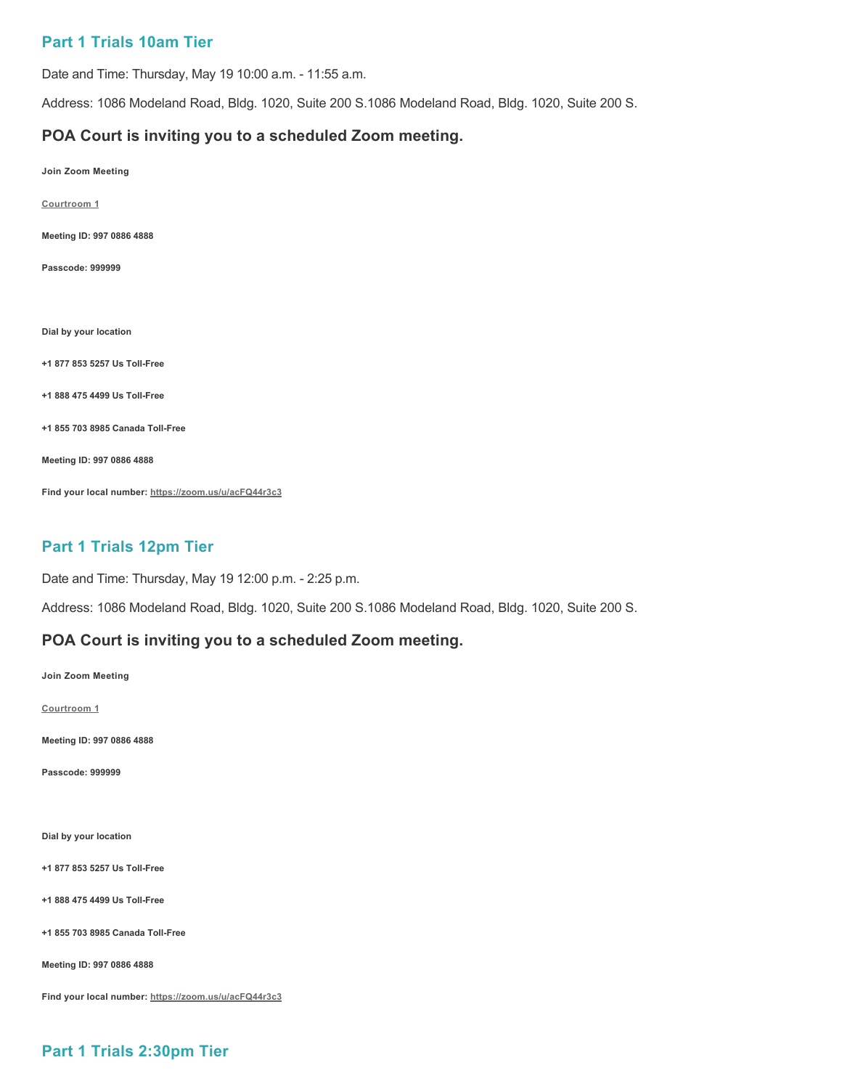## **Part 1 Trials 10am Tier**

Date and Time: Thursday, May 19 10:00 a.m. - 11:55 a.m.

Address: 1086 Modeland Road, Bldg. 1020, Suite 200 S.1086 Modeland Road, Bldg. 1020, Suite 200 S.

### **POA Court is inviting you to a scheduled Zoom meeting.**

- **Join Zoom Meeting**
- **[Courtroom 1](https://zoom.us/j/99708864888?pwd=QVZZN3NoNVVHNlVYYWl6M1JsVlRCdz09)**
- **Meeting ID: 997 0886 4888**
- **Passcode: 999999**
- **Dial by your location**
- **+1 877 853 5257 Us Toll-Free**
- **+1 888 475 4499 Us Toll-Free**
- **+1 855 703 8985 Canada Toll-Free**
- **Meeting ID: 997 0886 4888**
- **Find your local number:<https://zoom.us/u/acFQ44r3c3>**

# **Part 1 Trials 12pm Tier**

Date and Time: Thursday, May 19 12:00 p.m. - 2:25 p.m.

Address: 1086 Modeland Road, Bldg. 1020, Suite 200 S.1086 Modeland Road, Bldg. 1020, Suite 200 S.

#### **POA Court is inviting you to a scheduled Zoom meeting.**

- **Join Zoom Meeting**
- **[Courtroom 1](https://zoom.us/j/99708864888?pwd=QVZZN3NoNVVHNlVYYWl6M1JsVlRCdz09)**
- **Meeting ID: 997 0886 4888**
- **Passcode: 999999**
- **Dial by your location**
- **+1 877 853 5257 Us Toll-Free**
- **+1 888 475 4499 Us Toll-Free**
- **+1 855 703 8985 Canada Toll-Free**
- **Meeting ID: 997 0886 4888**
- **Find your local number:<https://zoom.us/u/acFQ44r3c3>**

# **Part 1 Trials 2:30pm Tier**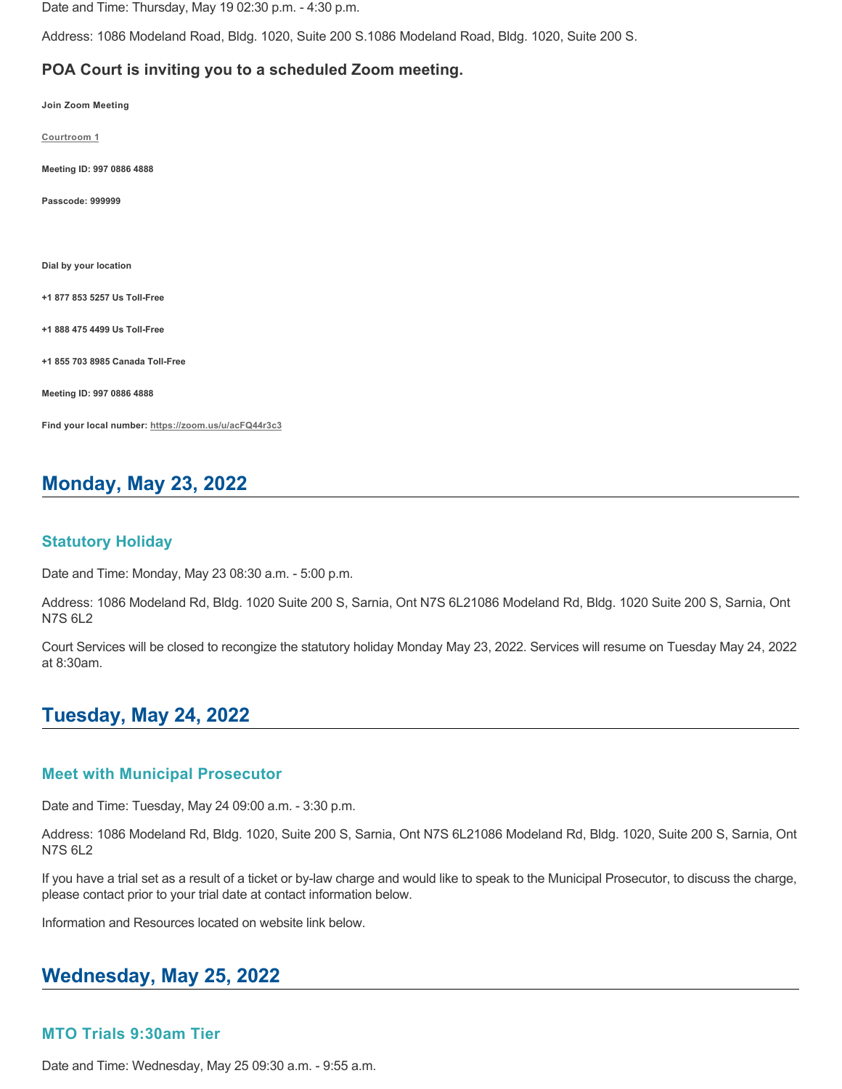Date and Time: Thursday, May 19 02:30 p.m. - 4:30 p.m.

Address: 1086 Modeland Road, Bldg. 1020, Suite 200 S.1086 Modeland Road, Bldg. 1020, Suite 200 S.

### **POA Court is inviting you to a scheduled Zoom meeting.**

**Join Zoom Meeting**

**[Courtroom 1](https://zoom.us/j/99708864888?pwd=QVZZN3NoNVVHNlVYYWl6M1JsVlRCdz09)**

**Meeting ID: 997 0886 4888**

**Passcode: 999999**

**Dial by your location**

**+1 877 853 5257 Us Toll-Free**

**+1 888 475 4499 Us Toll-Free**

**+1 855 703 8985 Canada Toll-Free**

**Meeting ID: 997 0886 4888**

**Find your local number:<https://zoom.us/u/acFQ44r3c3>**

# **Monday, May 23, 2022**

#### **Statutory Holiday**

Date and Time: Monday, May 23 08:30 a.m. - 5:00 p.m.

Address: 1086 Modeland Rd, Bldg. 1020 Suite 200 S, Sarnia, Ont N7S 6L21086 Modeland Rd, Bldg. 1020 Suite 200 S, Sarnia, Ont N7S 6L2

Court Services will be closed to recongize the statutory holiday Monday May 23, 2022. Services will resume on Tuesday May 24, 2022 at 8:30am.

# **Tuesday, May 24, 2022**

#### **Meet with Municipal Prosecutor**

Date and Time: Tuesday, May 24 09:00 a.m. - 3:30 p.m.

Address: 1086 Modeland Rd, Bldg. 1020, Suite 200 S, Sarnia, Ont N7S 6L21086 Modeland Rd, Bldg. 1020, Suite 200 S, Sarnia, Ont N7S 6L2

If you have a trial set as a result of a ticket or by-law charge and would like to speak to the Municipal Prosecutor, to discuss the charge, please contact prior to your trial date at contact information below.

Information and Resources located on website link below.

# **Wednesday, May 25, 2022**

#### **MTO Trials 9:30am Tier**

Date and Time: Wednesday, May 25 09:30 a.m. - 9:55 a.m.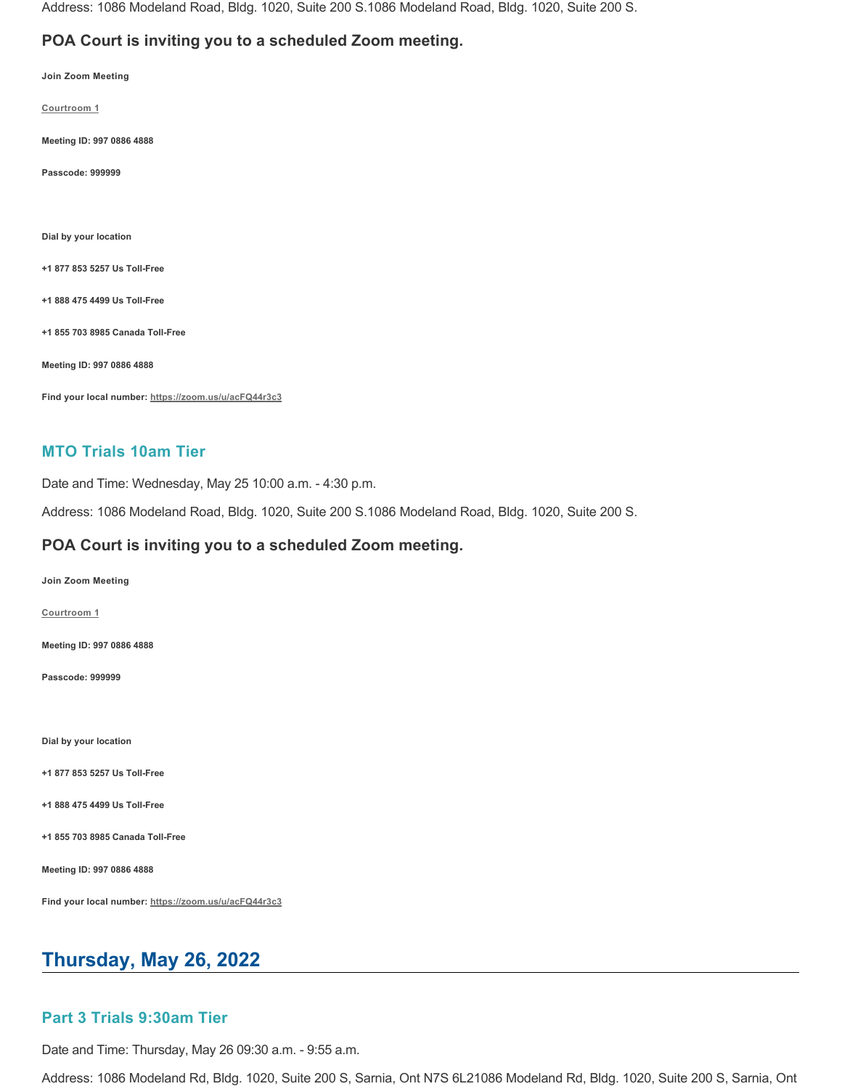Address: 1086 Modeland Road, Bldg. 1020, Suite 200 S.1086 Modeland Road, Bldg. 1020, Suite 200 S.

## **POA Court is inviting you to a scheduled Zoom meeting.**

**Join Zoom Meeting**

**[Courtroom 1](https://zoom.us/j/99708864888?pwd=QVZZN3NoNVVHNlVYYWl6M1JsVlRCdz09)**

**Meeting ID: 997 0886 4888**

**Passcode: 999999**

**Dial by your location**

**+1 877 853 5257 Us Toll-Free**

**+1 888 475 4499 Us Toll-Free**

**+1 855 703 8985 Canada Toll-Free**

**Meeting ID: 997 0886 4888**

**Find your local number:<https://zoom.us/u/acFQ44r3c3>**

### **MTO Trials 10am Tier**

Date and Time: Wednesday, May 25 10:00 a.m. - 4:30 p.m.

Address: 1086 Modeland Road, Bldg. 1020, Suite 200 S.1086 Modeland Road, Bldg. 1020, Suite 200 S.

### **POA Court is inviting you to a scheduled Zoom meeting.**

**Join Zoom Meeting**

**[Courtroom 1](https://zoom.us/j/99708864888?pwd=QVZZN3NoNVVHNlVYYWl6M1JsVlRCdz09)**

**Meeting ID: 997 0886 4888**

**Passcode: 999999**

**Dial by your location**

**+1 877 853 5257 Us Toll-Free**

**+1 888 475 4499 Us Toll-Free**

**+1 855 703 8985 Canada Toll-Free**

**Meeting ID: 997 0886 4888**

**Find your local number:<https://zoom.us/u/acFQ44r3c3>**

# **Thursday, May 26, 2022**

#### **Part 3 Trials 9:30am Tier**

Date and Time: Thursday, May 26 09:30 a.m. - 9:55 a.m.

Address: 1086 Modeland Rd, Bldg. 1020, Suite 200 S, Sarnia, Ont N7S 6L21086 Modeland Rd, Bldg. 1020, Suite 200 S, Sarnia, Ont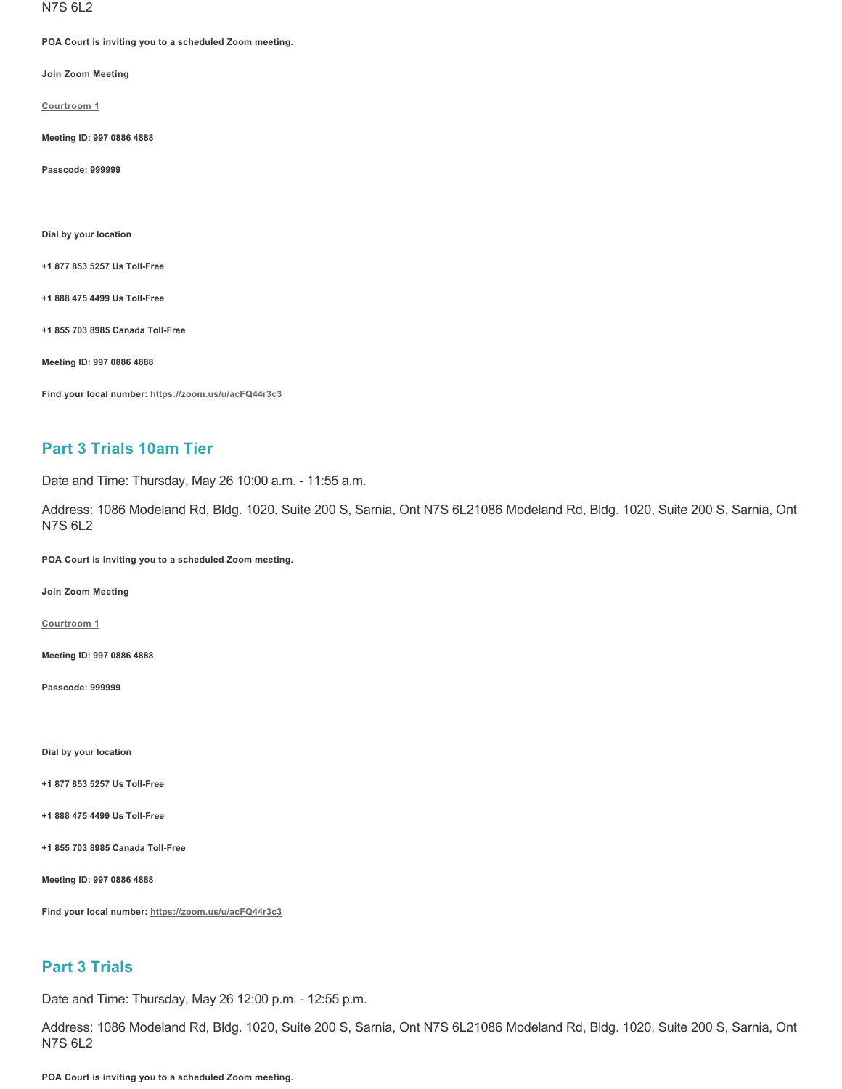N7S 6L2

**POA Court is inviting you to a scheduled Zoom meeting.**

**Join Zoom Meeting**

**[Courtroom 1](https://zoom.us/j/99708864888?pwd=QVZZN3NoNVVHNlVYYWl6M1JsVlRCdz09)**

**Meeting ID: 997 0886 4888**

**Passcode: 999999**

**Dial by your location**

**+1 877 853 5257 Us Toll-Free**

**+1 888 475 4499 Us Toll-Free**

**+1 855 703 8985 Canada Toll-Free**

**Meeting ID: 997 0886 4888**

**Find your local number:<https://zoom.us/u/acFQ44r3c3>**

# **Part 3 Trials 10am Tier**

Date and Time: Thursday, May 26 10:00 a.m. - 11:55 a.m.

Address: 1086 Modeland Rd, Bldg. 1020, Suite 200 S, Sarnia, Ont N7S 6L21086 Modeland Rd, Bldg. 1020, Suite 200 S, Sarnia, Ont N7S 6L2

**POA Court is inviting you to a scheduled Zoom meeting.**

**Join Zoom Meeting**

**[Courtroom 1](https://zoom.us/j/99708864888?pwd=QVZZN3NoNVVHNlVYYWl6M1JsVlRCdz09)**

**Meeting ID: 997 0886 4888**

**Passcode: 999999**

**Dial by your location**

**+1 877 853 5257 Us Toll-Free**

**+1 888 475 4499 Us Toll-Free**

**+1 855 703 8985 Canada Toll-Free**

**Meeting ID: 997 0886 4888**

**Find your local number:<https://zoom.us/u/acFQ44r3c3>**

### **Part 3 Trials**

Date and Time: Thursday, May 26 12:00 p.m. - 12:55 p.m.

Address: 1086 Modeland Rd, Bldg. 1020, Suite 200 S, Sarnia, Ont N7S 6L21086 Modeland Rd, Bldg. 1020, Suite 200 S, Sarnia, Ont N7S 6L2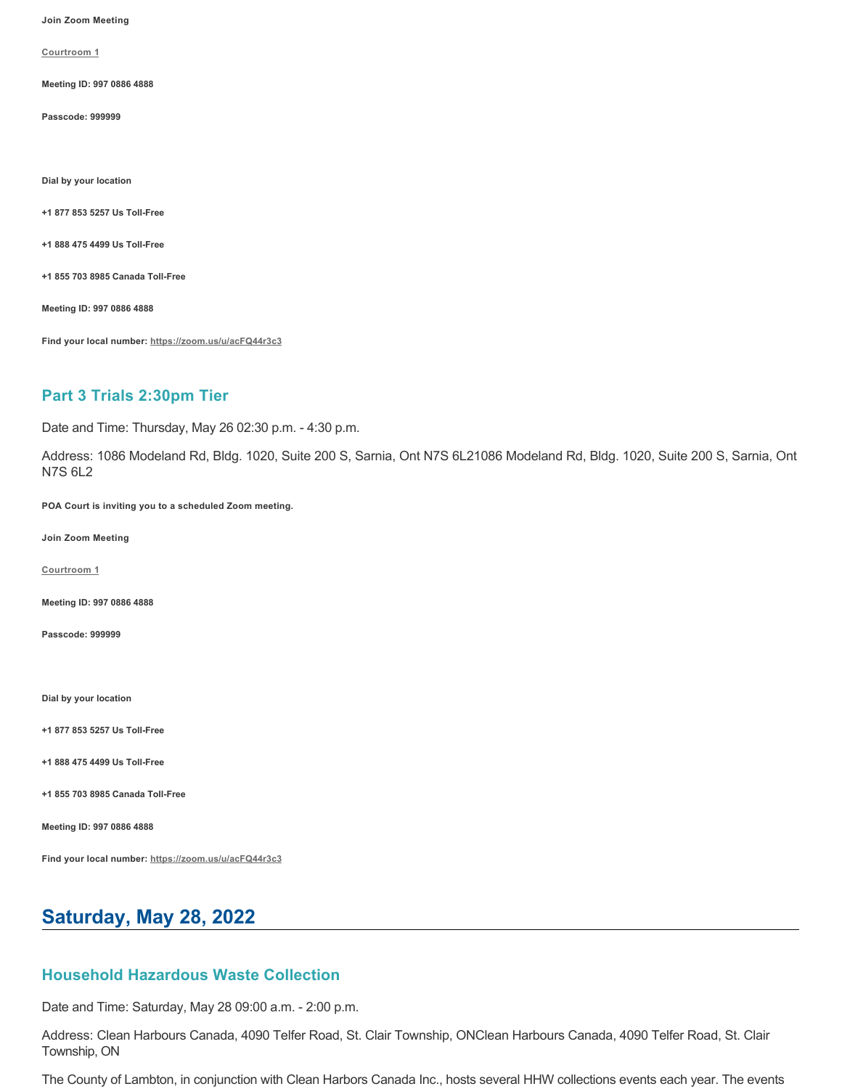**Join Zoom Meeting**

**[Courtroom 1](https://zoom.us/j/99708864888?pwd=QVZZN3NoNVVHNlVYYWl6M1JsVlRCdz09)**

**Meeting ID: 997 0886 4888**

**Passcode: 999999**

**Dial by your location**

**+1 877 853 5257 Us Toll-Free**

**+1 888 475 4499 Us Toll-Free**

**+1 855 703 8985 Canada Toll-Free**

**Meeting ID: 997 0886 4888**

**Find your local number:<https://zoom.us/u/acFQ44r3c3>**

# **Part 3 Trials 2:30pm Tier**

Date and Time: Thursday, May 26 02:30 p.m. - 4:30 p.m.

Address: 1086 Modeland Rd, Bldg. 1020, Suite 200 S, Sarnia, Ont N7S 6L21086 Modeland Rd, Bldg. 1020, Suite 200 S, Sarnia, Ont N7S 6L2

**POA Court is inviting you to a scheduled Zoom meeting.**

**Join Zoom Meeting**

**[Courtroom 1](https://zoom.us/j/99708864888?pwd=QVZZN3NoNVVHNlVYYWl6M1JsVlRCdz09)**

**Meeting ID: 997 0886 4888**

**Passcode: 999999**

**Dial by your location**

**+1 877 853 5257 Us Toll-Free**

**+1 888 475 4499 Us Toll-Free**

**+1 855 703 8985 Canada Toll-Free**

**Meeting ID: 997 0886 4888**

**Find your local number:<https://zoom.us/u/acFQ44r3c3>**

# **Saturday, May 28, 2022**

## **Household Hazardous Waste Collection**

Date and Time: Saturday, May 28 09:00 a.m. - 2:00 p.m.

Address: Clean Harbours Canada, 4090 Telfer Road, St. Clair Township, ONClean Harbours Canada, 4090 Telfer Road, St. Clair Township, ON

The County of Lambton, in conjunction with Clean Harbors Canada Inc., hosts several HHW collections events each year. The events